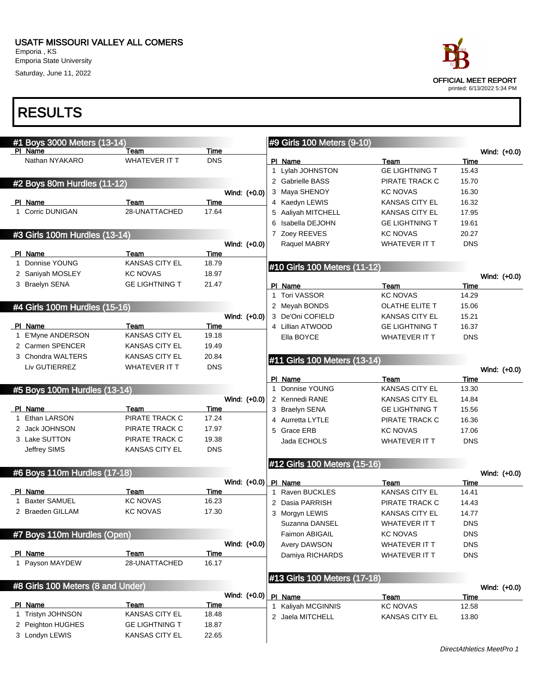#### USATF MISSOURI VALLEY ALL COMERS Emporia , KS

Emporia State University Saturday, June 11, 2022

| #1 Boys 3000 Meters (13-14)       |                       |              | #9 Girls 100 Meters (9-10)   |                       |                |
|-----------------------------------|-----------------------|--------------|------------------------------|-----------------------|----------------|
| PI Name                           | Team                  | Time         |                              |                       | Wind: (+0.0)   |
| Nathan NYAKARO                    | WHATEVER IT T         | <b>DNS</b>   | PI Name                      | Team                  | Time           |
|                                   |                       |              | 1 Lylah JOHNSTON             | <b>GE LIGHTNING T</b> | 15.43          |
| #2 Boys 80m Hurdles (11-12)       |                       |              | 2 Gabrielle BASS             | PIRATE TRACK C        | 15.70          |
|                                   |                       | Wind: (+0.0) | 3 Maya SHENOY                | <b>KC NOVAS</b>       | 16.30          |
| PI Name                           | Team                  | Time         | 4 Kaedyn LEWIS               | <b>KANSAS CITY EL</b> | 16.32          |
| 1 Corric DUNIGAN                  | 28-UNATTACHED         | 17.64        | 5 Aaliyah MITCHELL           | <b>KANSAS CITY EL</b> | 17.95          |
|                                   |                       |              | Isabella DEJOHN              | <b>GE LIGHTNING T</b> | 19.61          |
| #3 Girls 100m Hurdles (13-14)     |                       |              | 7 Zoey REEVES                | <b>KC NOVAS</b>       | 20.27          |
|                                   |                       | Wind: (+0.0) | Raquel MABRY                 | <b>WHATEVER IT T</b>  | <b>DNS</b>     |
| PI Name                           | Team                  | Time         |                              |                       |                |
| 1 Donnise YOUNG                   | <b>KANSAS CITY EL</b> | 18.79        | #10 Girls 100 Meters (11-12) |                       |                |
| 2 Saniyah MOSLEY                  | <b>KC NOVAS</b>       | 18.97        |                              |                       | Wind: (+0.0)   |
| 3 Braelyn SENA                    | <b>GE LIGHTNING T</b> | 21.47        | PI Name                      | Team                  | Time           |
|                                   |                       |              | 1 Tori VASSOR                | <b>KC NOVAS</b>       | 14.29          |
| #4 Girls 100m Hurdles (15-16)     |                       |              | 2 Meyah BONDS                | OLATHE ELITE T        | 15.06          |
|                                   |                       | Wind: (+0.0) | 3 De'Oni COFIELD             | <b>KANSAS CITY EL</b> | 15.21          |
| PI Name                           | Team                  | Time         | 4 Lillian ATWOOD             | <b>GE LIGHTNING T</b> | 16.37          |
| 1 E'Myne ANDERSON                 | KANSAS CITY EL        | 19.18        | Ella BOYCE                   | <b>WHATEVER IT T</b>  | <b>DNS</b>     |
| 2 Carmen SPENCER                  | <b>KANSAS CITY EL</b> | 19.49        |                              |                       |                |
| 3 Chondra WALTERS                 | <b>KANSAS CITY EL</b> | 20.84        | #11 Girls 100 Meters (13-14) |                       |                |
| Liv GUTIERREZ                     | <b>WHATEVER IT T</b>  | <b>DNS</b>   |                              |                       | Wind: $(+0.0)$ |
|                                   |                       |              | PI Name                      | Team                  | Time           |
| #5 Boys 100m Hurdles (13-14)      |                       |              | 1 Donnise YOUNG              | KANSAS CITY EL        | 13.30          |
|                                   |                       | Wind: (+0.0) | 2 Kennedi RANE               | <b>KANSAS CITY EL</b> | 14.84          |
| PI Name                           | Team                  | Time         | 3 Braelyn SENA               | <b>GE LIGHTNING T</b> | 15.56          |
| 1 Ethan LARSON                    | PIRATE TRACK C        | 17.24        | 4 Aurretta LYTLE             | PIRATE TRACK C        | 16.36          |
| 2 Jack JOHNSON                    | PIRATE TRACK C        | 17.97        | 5 Grace ERB                  | <b>KC NOVAS</b>       | 17.06          |
| 3 Lake SUTTON                     | PIRATE TRACK C        | 19.38        | Jada ECHOLS                  | <b>WHATEVER IT T</b>  | <b>DNS</b>     |
| Jeffrey SIMS                      | <b>KANSAS CITY EL</b> | <b>DNS</b>   |                              |                       |                |
|                                   |                       |              | #12 Girls 100 Meters (15-16) |                       |                |
| #6 Boys 110m Hurdles (17-18)      |                       |              |                              |                       | Wind: (+0.0)   |
|                                   |                       | Wind: (+0.0) | PI Name                      | Team                  | Time           |
| PI Name                           | Team                  | Time         | 1 Raven BUCKLES              | KANSAS CITY EL        | 14.41          |
| 1 Baxter SAMUEL                   | <b>KC NOVAS</b>       | 16.23        | 2 Dasia PARRISH              | PIRATE TRACK C        | 14.43          |
| 2 Braeden GILLAM                  | <b>KC NOVAS</b>       | 17.30        | 3 Morgyn LEWIS               | <b>KANSAS CITY EL</b> | 14.77          |
|                                   |                       |              | Suzanna DANSEL               | <b>WHATEVER IT T</b>  | <b>DNS</b>     |
| #7 Boys 110m Hurdles (Open)       |                       |              | Faimon ABIGAIL               | <b>KC NOVAS</b>       | <b>DNS</b>     |
|                                   |                       | Wind: (+0.0) | Avery DAWSON                 | <b>WHATEVER IT T</b>  | <b>DNS</b>     |
| PI Name                           | Team                  | Time         | Damiya RICHARDS              | <b>WHATEVER IT T</b>  | <b>DNS</b>     |
| 1 Payson MAYDEW                   | 28-UNATTACHED         | 16.17        |                              |                       |                |
|                                   |                       |              | #13 Girls 100 Meters (17-18) |                       |                |
| #8 Girls 100 Meters (8 and Under) |                       |              |                              |                       | Wind: (+0.0)   |
|                                   |                       | Wind: (+0.0) | PI Name                      | Team                  | Time           |
| PI Name                           | Team                  | Time         | 1 Kaliyah MCGINNIS           | <b>KC NOVAS</b>       | 12.58          |
| 1 Tristyn JOHNSON                 | <b>KANSAS CITY EL</b> | 18.48        | 2 Jaela MITCHELL             | KANSAS CITY EL        | 13.80          |
| 2 Peighton HUGHES                 | <b>GE LIGHTNING T</b> | 18.87        |                              |                       |                |
| 3 Londyn LEWIS                    | <b>KANSAS CITY EL</b> | 22.65        |                              |                       |                |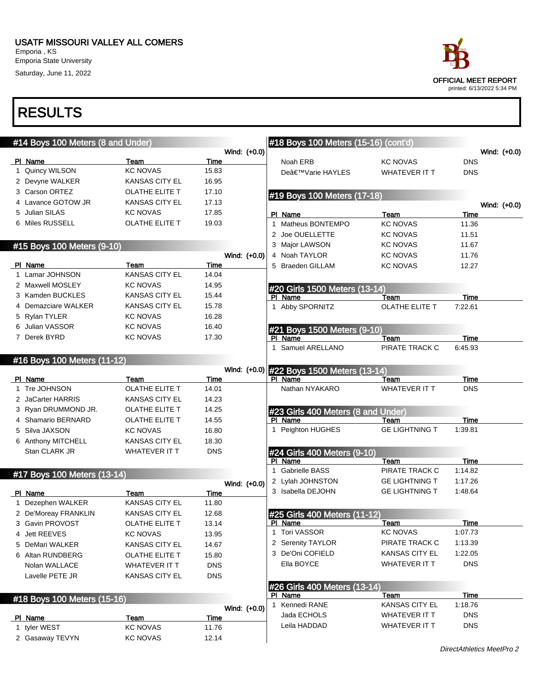Saturday, June 11, 2022

## RESULTS

| #14 Boys 100 Meters (8 and Under) |                               |               |              | #18 Boys 100 Meters (15-16) (cont'd)          |                               |                    |              |
|-----------------------------------|-------------------------------|---------------|--------------|-----------------------------------------------|-------------------------------|--------------------|--------------|
|                                   |                               |               | Wind: (+0.0) |                                               |                               |                    | Wind: (+0.0) |
| PI Name                           | Team                          | Time          |              | Noah ERB                                      | <b>KC NOVAS</b>               | <b>DNS</b>         |              |
| 1 Quincy WILSON                   | <b>KC NOVAS</b>               | 15.83         |              | De'Varie HAYLES                               | <b>WHATEVER IT T</b>          | <b>DNS</b>         |              |
| 2 Devyne WALKER                   | <b>KANSAS CITY EL</b>         | 16.95         |              |                                               |                               |                    |              |
| 3 Carson ORTEZ                    | <b>OLATHE ELITE T</b>         | 17.10         |              | #19 Boys 100 Meters (17-18)                   |                               |                    |              |
| 4 Lavance GOTOW JR                | <b>KANSAS CITY EL</b>         | 17.13         |              |                                               |                               |                    | Wind: (+0.0) |
| 5 Julian SILAS                    | <b>KC NOVAS</b>               | 17.85         |              | PI Name                                       | Team                          | Time               |              |
| 6 Miles RUSSELL                   | OLATHE ELITE T                | 19.03         |              | 1 Matheus BONTEMPO                            | <b>KC NOVAS</b>               | 11.36              |              |
|                                   |                               |               |              | 2 Joe OUELLETTE                               | <b>KC NOVAS</b>               | 11.51              |              |
| #15 Boys 100 Meters (9-10)        |                               |               |              | 3 Major LAWSON                                | <b>KC NOVAS</b>               | 11.67              |              |
|                                   |                               |               | Wind: (+0.0) | 4 Noah TAYLOR                                 | <b>KC NOVAS</b>               | 11.76              |              |
| PI Name                           | Team                          | Time          |              | 5 Braeden GILLAM                              | <b>KC NOVAS</b>               | 12.27              |              |
| 1 Lamar JOHNSON                   | <b>KANSAS CITY EL</b>         | 14.04         |              |                                               |                               |                    |              |
| 2 Maxwell MOSLEY                  | <b>KC NOVAS</b>               | 14.95         |              | #20 Girls 1500 Meters (13-14)                 |                               |                    |              |
| 3 Kamden BUCKLES                  | <b>KANSAS CITY EL</b>         | 15.44         |              | PI Name                                       | Team                          | Time               |              |
| 4 Demazciare WALKER               | <b>KANSAS CITY EL</b>         | 15.78         |              | 1 Abby SPORNITZ                               | OLATHE ELITE T                | 7:22.61            |              |
| 5 Rylan TYLER                     | <b>KC NOVAS</b>               | 16.28         |              |                                               |                               |                    |              |
| 6 Julian VASSOR                   | <b>KC NOVAS</b>               | 16.40         |              | #21 Boys 1500 Meters (9-10)                   |                               |                    |              |
| 7 Derek BYRD                      | <b>KC NOVAS</b>               | 17.30         |              | PI Name                                       | Team                          | Time               |              |
|                                   |                               |               |              | 1 Samuel ARELLANO                             | PIRATE TRACK C                | 6:45.93            |              |
| #16 Boys 100 Meters (11-12)       |                               |               |              |                                               |                               |                    |              |
|                                   |                               |               |              | Wind: (+0.0) #22 Boys 1500 Meters (13-14)     |                               |                    |              |
| PI Name<br>1 Tre JOHNSON          | Team<br><b>OLATHE ELITE T</b> | Time<br>14.01 |              | PI Name<br>Nathan NYAKARO                     | Team<br><b>WHATEVER IT T</b>  | Time<br><b>DNS</b> |              |
| 2 JaCarter HARRIS                 | <b>KANSAS CITY EL</b>         | 14.23         |              |                                               |                               |                    |              |
|                                   |                               |               |              |                                               |                               |                    |              |
| 3 Ryan DRUMMOND JR.               | OLATHE ELITE T                | 14.25         |              | #23 Girls 400 Meters (8 and Under)<br>PI Name |                               |                    |              |
| 4 Shamario BERNARD                | OLATHE ELITE T                | 14.55         |              | 1 Peighton HUGHES                             | Team<br><b>GE LIGHTNING T</b> | Time<br>1:39.81    |              |
| 5 Silva JAXSON                    | <b>KC NOVAS</b>               | 16.80         |              |                                               |                               |                    |              |
| 6 Anthony MITCHELL                | <b>KANSAS CITY EL</b>         | 18.30         |              |                                               |                               |                    |              |
| Stan CLARK JR                     | WHATEVER IT T                 | <b>DNS</b>    |              | #24 Girls 400 Meters (9-10)<br>PI Name        | Team                          | Time               |              |
|                                   |                               |               |              | 1 Gabrielle BASS                              | PIRATE TRACK C                | 1:14.82            |              |
| #17 Boys 100 Meters (13-14)       |                               |               |              | 2 Lylah JOHNSTON                              | <b>GE LIGHTNING T</b>         | 1:17.26            |              |
|                                   |                               |               | Wind: (+0.0) | 3 Isabella DEJOHN                             | <b>GE LIGHTNING T</b>         | 1:48.64            |              |
| PI Name<br>1 Dezephen WALKER      | Team<br><b>KANSAS CITY EL</b> | Time<br>11.80 |              |                                               |                               |                    |              |
| 2 De'Moreay FRANKLIN              | <b>KANSAS CITY EL</b>         | 12.68         |              |                                               |                               |                    |              |
| 3 Gavin PROVOST                   | OLATHE ELITE T                | 13.14         |              | #25 Girls 400 Meters (11-12)<br>PI Name       | Team                          | Time               |              |
| 4 Jett REEVES                     | <b>KC NOVAS</b>               | 13.95         |              | 1 Tori VASSOR                                 | <b>KC NOVAS</b>               | 1:07.73            |              |
| 5 DeMari WALKER                   | <b>KANSAS CITY EL</b>         | 14.67         |              | 2 Serenity TAYLOR                             | PIRATE TRACK C                | 1:13.39            |              |
| 6 Altan RUNDBERG                  | OLATHE ELITE T                | 15.80         |              | 3 De'Oni COFIELD                              | <b>KANSAS CITY EL</b>         | 1:22.05            |              |
| Nolan WALLACE                     | WHATEVER IT T                 | <b>DNS</b>    |              | Ella BOYCE                                    | <b>WHATEVER IT T</b>          | <b>DNS</b>         |              |
| Lavelle PETE JR                   |                               |               |              |                                               |                               |                    |              |
|                                   | <b>KANSAS CITY EL</b>         | <b>DNS</b>    |              |                                               |                               |                    |              |
|                                   |                               |               |              | #26 Girls 400 Meters (13-14)<br>PI Name       | Team                          | Time               |              |
| #18 Boys 100 Meters (15-16)       |                               |               |              | 1 Kennedi RANE                                | <b>KANSAS CITY EL</b>         | 1:18.76            |              |
| PI Name                           | Team                          | <b>Time</b>   | Wind: (+0.0) | Jada ECHOLS                                   | <b>WHATEVER IT T</b>          | <b>DNS</b>         |              |
| 1 tyler WEST                      | <b>KC NOVAS</b>               | 11.76         |              | Leila HADDAD                                  | <b>WHATEVER IT T</b>          | <b>DNS</b>         |              |
| 2 Gasaway TEVYN                   | <b>KC NOVAS</b>               | 12.14         |              |                                               |                               |                    |              |
|                                   |                               |               |              |                                               |                               |                    |              |



printed: 6/13/2022 5:34 PM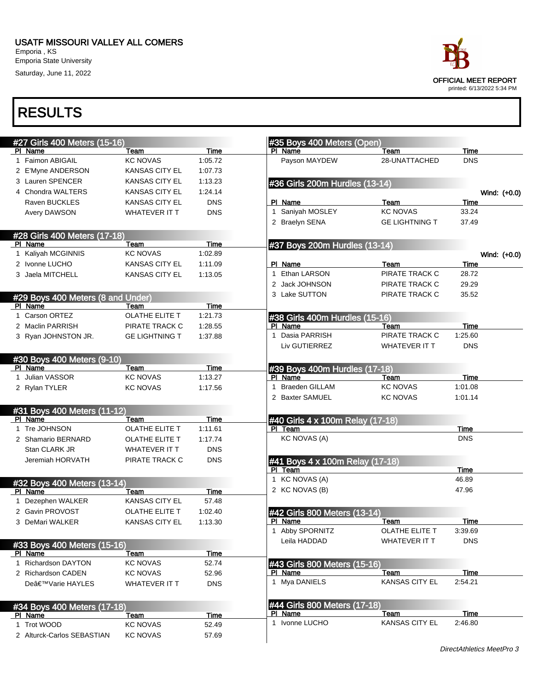#### USATF MISSOURI VALLEY ALL COMERS

Emporia , KS Emporia State University Saturday, June 11, 2022



| #27 Girls 400 Meters (15-16)           |                         |               |              | #35 Boys 400 Meters (Open)              |                       |            |              |
|----------------------------------------|-------------------------|---------------|--------------|-----------------------------------------|-----------------------|------------|--------------|
| PI Name                                | Team                    | Time          |              | PI Name                                 | Team                  | Time       |              |
| 1 Faimon ABIGAIL                       | <b>KC NOVAS</b>         | 1:05.72       |              | Payson MAYDEW                           | 28-UNATTACHED         | <b>DNS</b> |              |
| 2 E'Myne ANDERSON                      | <b>KANSAS CITY EL</b>   | 1:07.73       |              |                                         |                       |            |              |
| 3 Lauren SPENCER                       | <b>KANSAS CITY EL</b>   | 1:13.23       |              | #36 Girls 200m Hurdles (13-14)          |                       |            |              |
| 4 Chondra WALTERS                      | <b>KANSAS CITY EL</b>   | 1:24.14       |              |                                         |                       |            | Wind: (+0.0) |
| Raven BUCKLES                          | <b>KANSAS CITY EL</b>   | <b>DNS</b>    |              | PI Name                                 | Team                  | Time       |              |
| <b>Avery DAWSON</b>                    | WHATEVER IT T           | <b>DNS</b>    | $\mathbf{1}$ | Saniyah MOSLEY                          | <b>KC NOVAS</b>       | 33.24      |              |
|                                        |                         |               |              | 2 Braelyn SENA                          | <b>GE LIGHTNING T</b> | 37.49      |              |
| #28 Girls 400 Meters (17-18)           |                         |               |              |                                         |                       |            |              |
| PI Name                                | Team                    | Time          |              | #37 Boys 200m Hurdles (13-14)           |                       |            |              |
| 1 Kaliyah MCGINNIS                     | <b>KC NOVAS</b>         | 1:02.89       |              |                                         |                       |            | Wind: (+0.0) |
| 2 Ivonne LUCHO                         | <b>KANSAS CITY EL</b>   | 1:11.09       |              | PI Name                                 | Team                  | Time       |              |
| 3 Jaela MITCHELL                       | <b>KANSAS CITY EL</b>   | 1:13.05       |              | 1 Ethan LARSON                          | PIRATE TRACK C        | 28.72      |              |
|                                        |                         |               |              | 2 Jack JOHNSON                          | PIRATE TRACK C        | 29.29      |              |
| #29 Boys 400 Meters (8 and Under)      |                         |               |              | 3 Lake SUTTON                           | PIRATE TRACK C        | 35.52      |              |
| PI Name                                | Team                    | <b>Time</b>   |              |                                         |                       |            |              |
| 1 Carson ORTEZ                         | <b>OLATHE ELITE T</b>   | 1:21.73       |              | #38 Girls 400m Hurdles (15-16)          |                       |            |              |
| 2 Maclin PARRISH                       | PIRATE TRACK C          | 1:28.55       |              | PI Name                                 | Team                  | Time       |              |
| 3 Ryan JOHNSTON JR.                    | <b>GE LIGHTNING T</b>   | 1:37.88       | 1            | Dasia PARRISH                           | PIRATE TRACK C        | 1:25.60    |              |
|                                        |                         |               |              | Liv GUTIERREZ                           | <b>WHATEVER IT T</b>  | <b>DNS</b> |              |
|                                        |                         |               |              |                                         |                       |            |              |
| #30 Boys 400 Meters (9-10)<br>PI Name  | Team                    | Time          |              | #39 Boys 400m Hurdles (17-18)           |                       |            |              |
| 1 Julian VASSOR                        | <b>KC NOVAS</b>         | 1:13.27       |              | PI Name                                 | Team                  | Time       |              |
| 2 Rylan TYLER                          | <b>KC NOVAS</b>         | 1:17.56       | 1            | <b>Braeden GILLAM</b>                   | <b>KC NOVAS</b>       | 1:01.08    |              |
|                                        |                         |               |              | 2 Baxter SAMUEL                         | <b>KC NOVAS</b>       | 1:01.14    |              |
|                                        |                         |               |              |                                         |                       |            |              |
| #31 Boys 400 Meters (11-12)<br>PI Name | Team                    | Time          |              | #40 Girls 4 x 100m Relay (17-18)        |                       |            |              |
| 1 Tre JOHNSON                          | <b>OLATHE ELITE T</b>   | 1:11.61       |              | PI Team                                 |                       | Time       |              |
| 2 Shamario BERNARD                     | <b>OLATHE ELITE T</b>   | 1:17.74       |              | <b>KC NOVAS (A)</b>                     |                       | <b>DNS</b> |              |
| Stan CLARK JR                          | <b>WHATEVER IT T</b>    | <b>DNS</b>    |              |                                         |                       |            |              |
| Jeremiah HORVATH                       | PIRATE TRACK C          | <b>DNS</b>    |              | #41 Boys 4 x 100m Relay (17-18)         |                       |            |              |
|                                        |                         |               |              | PI Team                                 |                       | Time       |              |
|                                        |                         |               |              | 1 KC NOVAS (A)                          |                       | 46.89      |              |
| #32 Boys 400 Meters (13-14)<br>PI Name | Team                    | Time          |              | 2 KC NOVAS (B)                          |                       | 47.96      |              |
| 1 Dezephen WALKER                      | <b>KANSAS CITY EL</b>   | 57.48         |              |                                         |                       |            |              |
| 2 Gavin PROVOST                        | OLATHE ELITE T          | 1:02.40       |              | #42 Girls 800 Meters (13-14)            |                       |            |              |
| 3 DeMari WALKER                        | <b>KANSAS CITY EL</b>   | 1:13.30       |              | PI Name                                 | Team                  | Time       |              |
|                                        |                         |               | 1            | Abby SPORNITZ                           | OLATHE ELITE T        | 3:39.69    |              |
|                                        |                         |               |              | Leila HADDAD                            | <b>WHATEVER IT T</b>  | <b>DNS</b> |              |
| #33 Boys 400 Meters (15-16)<br>PI Name | Team                    | Time          |              |                                         |                       |            |              |
| 1 Richardson DAYTON                    | <b>KC NOVAS</b>         | 52.74         |              | #43 Girls 800 Meters (15-16)            |                       |            |              |
| 2 Richardson CADEN                     | <b>KC NOVAS</b>         | 52.96         |              | PI Name                                 | Team                  | Time       |              |
| De'Varie HAYLES                        | WHATEVER IT T           | <b>DNS</b>    |              | 1 Mya DANIELS                           | <b>KANSAS CITY EL</b> | 2:54.21    |              |
|                                        |                         |               |              |                                         |                       |            |              |
|                                        |                         |               |              |                                         |                       |            |              |
| #34 Boys 400 Meters (17-18)            |                         |               |              | #44 Girls 800 Meters (17-18)<br>PI Name | Team                  | Time       |              |
| PI Name<br>1 Trot WOOD                 | Team<br><b>KC NOVAS</b> | Time<br>52.49 |              | 1 Ivonne LUCHO                          | <b>KANSAS CITY EL</b> | 2:46.80    |              |
|                                        |                         |               |              |                                         |                       |            |              |
| 2 Alturck-Carlos SEBASTIAN             | <b>KC NOVAS</b>         | 57.69         |              |                                         |                       |            |              |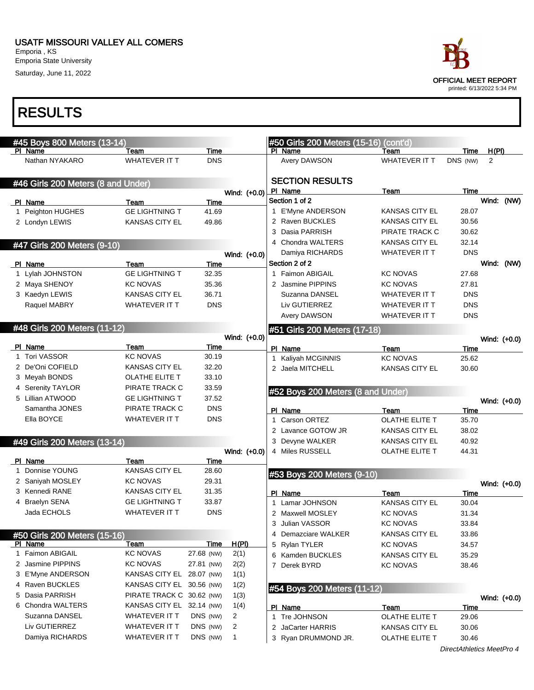Emporia State University Saturday, June 11, 2022



|   | #45 Boys 800 Meters (13-14)             |                               |               |              |                | #50 Girls 200 Meters (15-16)        | (cont'd)               |                           |       |              |
|---|-----------------------------------------|-------------------------------|---------------|--------------|----------------|-------------------------------------|------------------------|---------------------------|-------|--------------|
|   | PI Name                                 | Team                          | Time          |              | PI Name        |                                     | Team                   | Time                      | H(PI) |              |
|   | Nathan NYAKARO                          | <b>WHATEVER IT T</b>          | <b>DNS</b>    |              |                | Avery DAWSON                        | WHATEVER IT T          | DNS (NW)                  | 2     |              |
|   | #46 Girls 200 Meters (8 and Under)      |                               |               |              |                | <b>SECTION RESULTS</b>              |                        |                           |       |              |
|   |                                         |                               |               | Wind: (+0.0) | PI Name        |                                     | Team                   | Time                      |       |              |
|   | PI Name                                 | Team                          | Time          |              | Section 1 of 2 |                                     |                        |                           |       | Wind: (NW)   |
|   | 1 Peighton HUGHES                       | <b>GE LIGHTNING T</b>         | 41.69         |              |                | 1 E'Myne ANDERSON                   | <b>KANSAS CITY EL</b>  | 28.07                     |       |              |
|   | 2 Londyn LEWIS                          | <b>KANSAS CITY EL</b>         | 49.86         |              |                | 2 Raven BUCKLES                     | <b>KANSAS CITY EL</b>  | 30.56                     |       |              |
|   |                                         |                               |               |              |                | 3 Dasia PARRISH                     | PIRATE TRACK C         | 30.62                     |       |              |
|   | #47 Girls 200 Meters (9-10)             |                               |               |              |                | 4 Chondra WALTERS                   | <b>KANSAS CITY EL</b>  | 32.14                     |       |              |
|   |                                         |                               |               | Wind: (+0.0) |                | Damiya RICHARDS                     | <b>WHATEVER IT T</b>   | <b>DNS</b>                |       |              |
|   | PI Name                                 | Team                          | Time          |              | Section 2 of 2 |                                     |                        |                           |       | Wind: (NW)   |
|   | Lylah JOHNSTON                          | <b>GE LIGHTNING T</b>         | 32.35         |              |                | 1 Faimon ABIGAIL                    | <b>KC NOVAS</b>        | 27.68                     |       |              |
|   | 2 Maya SHENOY                           | <b>KC NOVAS</b>               | 35.36         |              |                | 2 Jasmine PIPPINS                   | <b>KC NOVAS</b>        | 27.81                     |       |              |
|   | 3 Kaedyn LEWIS                          | <b>KANSAS CITY EL</b>         | 36.71         |              |                | Suzanna DANSEL                      | <b>WHATEVER IT T</b>   | <b>DNS</b>                |       |              |
|   | Raquel MABRY                            | <b>WHATEVER IT T</b>          | <b>DNS</b>    |              |                | Liv GUTIERREZ                       | <b>WHATEVER IT T</b>   | <b>DNS</b>                |       |              |
|   |                                         |                               |               |              |                | Avery DAWSON                        | <b>WHATEVER IT T</b>   | <b>DNS</b>                |       |              |
|   | #48 Girls 200 Meters (11-12)            |                               |               |              |                | #51 Girls 200 Meters (17-18)        |                        |                           |       |              |
|   |                                         |                               |               | Wind: (+0.0) |                |                                     |                        |                           |       | Wind: (+0.0) |
|   | PI Name                                 | Team                          | Time          |              | PI Name        |                                     | Team                   | Time                      |       |              |
|   | <b>Tori VASSOR</b>                      | <b>KC NOVAS</b>               | 30.19         |              |                | 1 Kaliyah MCGINNIS                  | <b>KC NOVAS</b>        | 25.62                     |       |              |
|   | 2 De'Oni COFIELD                        | <b>KANSAS CITY EL</b>         | 32.20         |              |                | 2 Jaela MITCHELL                    | <b>KANSAS CITY EL</b>  | 30.60                     |       |              |
|   | 3 Meyah BONDS                           | OLATHE ELITE T                | 33.10         |              |                |                                     |                        |                           |       |              |
|   | 4 Serenity TAYLOR                       | PIRATE TRACK C                | 33.59         |              |                | #52 Boys 200 Meters (8 and Under)   |                        |                           |       |              |
|   | 5 Lillian ATWOOD                        | <b>GE LIGHTNING T</b>         | 37.52         |              |                |                                     |                        |                           |       | Wind: (+0.0) |
|   | Samantha JONES                          | PIRATE TRACK C                | <b>DNS</b>    |              | PI Name        |                                     | Team                   | Time                      |       |              |
|   | Ella BOYCE                              | <b>WHATEVER IT T</b>          | <b>DNS</b>    |              | 1              | Carson ORTEZ                        | OLATHE ELITE T         | 35.70                     |       |              |
|   |                                         |                               |               |              |                | 2 Lavance GOTOW JR                  | <b>KANSAS CITY EL</b>  | 38.02                     |       |              |
|   | #49 Girls 200 Meters (13-14)            |                               |               |              |                | 3 Devyne WALKER                     | <b>KANSAS CITY EL</b>  | 40.92                     |       |              |
|   |                                         |                               |               | Wind: (+0.0) |                | 4 Miles RUSSELL                     | OLATHE ELITE T         | 44.31                     |       |              |
| 1 | PI Name<br>Donnise YOUNG                | Team<br><b>KANSAS CITY EL</b> | Time<br>28.60 |              |                |                                     |                        |                           |       |              |
|   | 2 Saniyah MOSLEY                        | <b>KC NOVAS</b>               | 29.31         |              |                | #53 Boys 200 Meters (9-10)          |                        |                           |       |              |
|   | 3 Kennedi RANE                          | <b>KANSAS CITY EL</b>         | 31.35         |              |                |                                     |                        |                           |       | Wind: (+0.0) |
|   | 4 Braelyn SENA                          | <b>GE LIGHTNING T</b>         | 33.87         |              | PI Name        |                                     | Team                   | Time                      |       |              |
|   | Jada ECHOLS                             | <b>WHATEVER IT T</b>          | <b>DNS</b>    |              |                | Lamar JOHNSON                       | KANSAS CITY EL         | 30.04                     |       |              |
|   |                                         |                               |               |              |                | 2 Maxwell MOSLEY<br>3 Julian VASSOR | <b>KC NOVAS</b>        | 31.34                     |       |              |
|   |                                         |                               |               |              |                |                                     | <b>KC NOVAS</b>        | 33.84                     |       |              |
|   | #50 Girls 200 Meters (15-16)<br>PI Name | Team                          | Time          | H(PI)        |                | 4 Demazciare WALKER                 | KANSAS CITY EL         | 33.86                     |       |              |
|   | 1 Faimon ABIGAIL                        | <b>KC NOVAS</b>               | 27.68 (NW)    | 2(1)         |                | 5 Rylan TYLER                       | <b>KC NOVAS</b>        | 34.57                     |       |              |
|   | 2 Jasmine PIPPINS                       | <b>KC NOVAS</b>               | 27.81 (NW)    | 2(2)         |                | 6 Kamden BUCKLES                    | KANSAS CITY EL         | 35.29                     |       |              |
|   | 3 E'Myne ANDERSON                       | KANSAS CITY EL 28.07 (NW)     |               | 1(1)         |                | 7 Derek BYRD                        | <b>KC NOVAS</b>        | 38.46                     |       |              |
|   | 4 Raven BUCKLES                         | KANSAS CITY EL 30.56 (NW)     |               | 1(2)         |                |                                     |                        |                           |       |              |
|   | 5 Dasia PARRISH                         | PIRATE TRACK C 30.62 (NW)     |               | 1(3)         |                | #54 Boys 200 Meters (11-12)         |                        |                           |       |              |
|   | 6 Chondra WALTERS                       | KANSAS CITY EL 32.14 (NW)     |               | 1(4)         |                |                                     |                        |                           |       | Wind: (+0.0) |
|   | Suzanna DANSEL                          | <b>WHATEVER IT T</b>          | DNS (NW)      | 2            | PI Name        | 1 Tre JOHNSON                       | Team<br>OLATHE ELITE T | Time<br>29.06             |       |              |
|   | Liv GUTIERREZ                           | <b>WHATEVER IT T</b>          | DNS (NW)      | 2            |                | 2 JaCarter HARRIS                   | <b>KANSAS CITY EL</b>  |                           |       |              |
|   | Damiya RICHARDS                         | <b>WHATEVER IT T</b>          | DNS (NW)      | $\mathbf{1}$ |                | 3 Ryan DRUMMOND JR.                 | OLATHE ELITE T         | 30.06<br>30.46            |       |              |
|   |                                         |                               |               |              |                |                                     |                        |                           |       |              |
|   |                                         |                               |               |              |                |                                     |                        | DirectAthletics MeetPro 4 |       |              |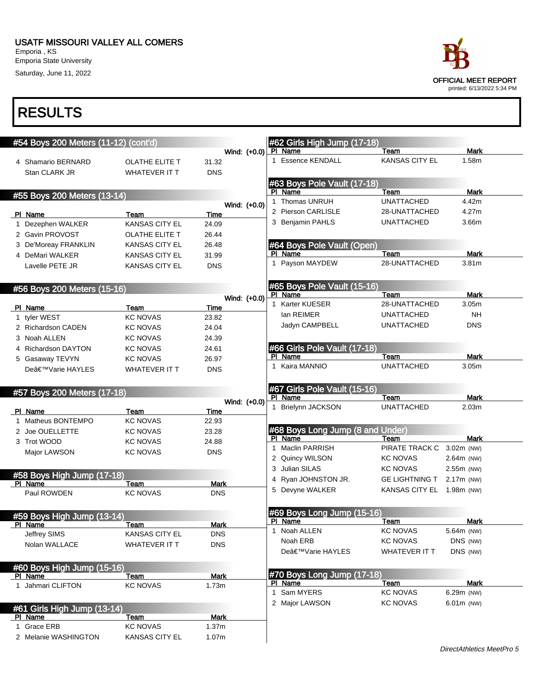Saturday, June 11, 2022

| ace                        |  |
|----------------------------|--|
| OFFICIAL MEET REPORT       |  |
| printed: 6/13/2022 5:34 PM |  |

| #54 Boys 200 Meters (11-12) (cont'd)  |                                          |                           |              | #62 Girls High Jump (17-18)      |                       |                   |
|---------------------------------------|------------------------------------------|---------------------------|--------------|----------------------------------|-----------------------|-------------------|
|                                       |                                          |                           | Wind: (+0.0) | PI Name                          | Team                  | Mark              |
| 4 Shamario BERNARD                    | <b>OLATHE ELITE T</b>                    | 31.32                     |              | 1 Essence KENDALL                | <b>KANSAS CITY EL</b> | 1.58m             |
| Stan CLARK JR                         | <b>WHATEVER IT T</b>                     | <b>DNS</b>                |              |                                  |                       |                   |
|                                       |                                          |                           |              | #63 Boys Pole Vault (17-18)      |                       |                   |
| #55 Boys 200 Meters (13-14)           |                                          |                           |              | PI Name                          | Team                  | Mark              |
|                                       |                                          |                           | Wind: (+0.0) | 1 Thomas UNRUH                   | <b>UNATTACHED</b>     | 4.42m             |
| PI Name                               | Team                                     | Time                      |              | 2 Pierson CARLISLE               | 28-UNATTACHED         | 4.27m             |
| 1 Dezephen WALKER                     | <b>KANSAS CITY EL</b>                    | 24.09                     |              | 3 Benjamin PAHLS                 | <b>UNATTACHED</b>     | 3.66m             |
| 2 Gavin PROVOST                       | OLATHE ELITE T                           | 26.44                     |              |                                  |                       |                   |
| 3 De'Moreay FRANKLIN                  | <b>KANSAS CITY EL</b>                    | 26.48                     |              | #64 Boys Pole Vault (Open)       |                       |                   |
| 4 DeMari WALKER                       | <b>KANSAS CITY EL</b>                    | 31.99                     |              | PI Name                          | Team                  | Mark              |
| Lavelle PETE JR                       | <b>KANSAS CITY EL</b>                    | <b>DNS</b>                |              | 1 Payson MAYDEW                  | 28-UNATTACHED         | 3.81 <sub>m</sub> |
|                                       |                                          |                           |              | #65 Boys Pole Vault (15-16)      |                       |                   |
| #56 Boys 200 Meters (15-16)           |                                          |                           |              | PI Name                          | Team                  | Mark              |
| PI Name                               | Team                                     | Time                      | Wind: (+0.0) | 1 Karter KUESER                  | 28-UNATTACHED         | 3.05m             |
| 1 tyler WEST                          | <b>KC NOVAS</b>                          | 23.82                     |              | lan REIMER                       | <b>UNATTACHED</b>     | <b>NH</b>         |
| 2 Richardson CADEN                    | <b>KC NOVAS</b>                          | 24.04                     |              | Jadyn CAMPBELL                   | <b>UNATTACHED</b>     | <b>DNS</b>        |
| 3 Noah ALLEN                          | <b>KC NOVAS</b>                          | 24.39                     |              |                                  |                       |                   |
| 4 Richardson DAYTON                   | <b>KC NOVAS</b>                          | 24.61                     |              | #66 Girls Pole Vault (17-18)     |                       |                   |
| 5 Gasaway TEVYN                       | <b>KC NOVAS</b>                          | 26.97                     |              | PI Name                          | Team                  | <b>Mark</b>       |
| De'Varie HAYLES                       | <b>WHATEVER IT T</b>                     | <b>DNS</b>                |              | 1 Kaira MANNIO                   | <b>UNATTACHED</b>     | 3.05 <sub>m</sub> |
|                                       |                                          |                           |              |                                  |                       |                   |
| #57 Boys 200 Meters (17-18)           |                                          |                           |              | #67 Girls Pole Vault (15-16)     |                       | <b>Mark</b>       |
|                                       |                                          |                           |              |                                  |                       |                   |
|                                       |                                          |                           | Wind: (+0.0) | PI Name                          | Team                  |                   |
| PI Name                               | Team                                     | Time                      |              | 1 Brielynn JACKSON               | <b>UNATTACHED</b>     | 2.03m             |
| 1 Matheus BONTEMPO                    | <b>KC NOVAS</b>                          | 22.93                     |              |                                  |                       |                   |
| 2 Joe OUELLETTE                       | <b>KC NOVAS</b>                          | 23.28                     |              | #68 Boys Long Jump (8 and Under) |                       |                   |
| 3 Trot WOOD                           | <b>KC NOVAS</b>                          | 24.88                     |              | PI Name                          | Team                  | <b>Mark</b>       |
| Major LAWSON                          | <b>KC NOVAS</b>                          | <b>DNS</b>                |              | 1 Maclin PARRISH                 | PIRATE TRACK C        | 3.02m (NW)        |
|                                       |                                          |                           |              | 2 Quincy WILSON                  | <b>KC NOVAS</b>       | 2.64m (NW)        |
|                                       |                                          |                           |              | 3 Julian SILAS                   | <b>KC NOVAS</b>       | 2.55m (NW)        |
| #58 Boys High Jump (17-18)<br>PI Name | Team                                     | Mark                      |              | 4 Ryan JOHNSTON JR.              | <b>GE LIGHTNING T</b> | 2.17m (NW)        |
| Paul ROWDEN                           | <b>KC NOVAS</b>                          | <b>DNS</b>                |              | 5 Devyne WALKER                  | <b>KANSAS CITY EL</b> | 1.98m (NW)        |
|                                       |                                          |                           |              | #69 Boys Long Jump (15-16)       |                       |                   |
| #59 Boys High Jump (13-14)            |                                          |                           |              | PI Name                          | Team                  | Mark              |
| <u>PI Name</u>                        | <u>Team</u><br><b>KANSAS CITY EL</b>     | <u>Mark</u><br><b>DNS</b> |              | 1 Noah ALLEN                     | <b>KC NOVAS</b>       | 5.64m (NW)        |
| Jeffrey SIMS                          |                                          |                           |              | Noah ERB                         | <b>KC NOVAS</b>       | DNS (NW)          |
| Nolan WALLACE                         | WHATEVER IT T                            | <b>DNS</b>                |              | De'Varie HAYLES                  | <b>WHATEVER IT T</b>  | DNS (NW)          |
| #60 Boys High Jump (15-16)            |                                          |                           |              |                                  |                       |                   |
| PI Name                               | Team                                     | <b>Mark</b>               |              | #70 Boys Long Jump (17-18)       |                       |                   |
| 1 Jahmari CLIFTON                     | <b>KC NOVAS</b>                          | 1.73m                     |              | PI Name                          | Team                  | Mark              |
|                                       |                                          |                           |              | 1 Sam MYERS                      | <b>KC NOVAS</b>       | 6.29m (NW)        |
| #61 Girls High Jump (13-14)           |                                          |                           |              | 2 Major LAWSON                   | <b>KC NOVAS</b>       | 6.01m (NW)        |
| PI Name                               | Team                                     | <b>Mark</b>               |              |                                  |                       |                   |
| 1 Grace ERB<br>2 Melanie WASHINGTON   | <b>KC NOVAS</b><br><b>KANSAS CITY EL</b> | 1.37m<br>1.07m            |              |                                  |                       |                   |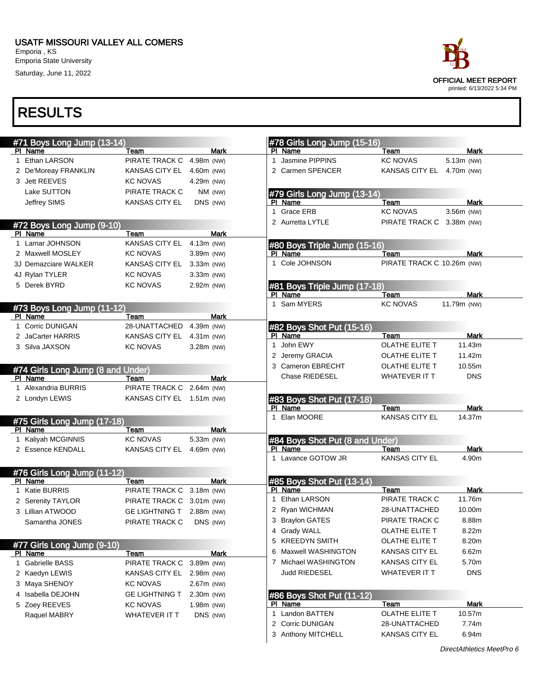#### USATF MISSOURI VALLEY ALL COMERS

Emporia , KS Emporia State University Saturday, June 11, 2022



| #71 Boys Long Jump (13-14)                   |                           |              | #78 Girls Long Jump (15-16)            |                                 |                |
|----------------------------------------------|---------------------------|--------------|----------------------------------------|---------------------------------|----------------|
| PI Name                                      | Team                      | <b>Mark</b>  | PI Name                                | Team                            | <b>Mark</b>    |
| 1 Ethan LARSON                               | PIRATE TRACK C            | 4.98m (NW)   | Jasmine PIPPINS<br>$\mathbf{1}$        | <b>KC NOVAS</b>                 | 5.13m (NW)     |
| 2 De'Moreay FRANKLIN                         | KANSAS CITY EL 4.60m (NW) |              | 2 Carmen SPENCER                       | KANSAS CITY EL 4.70m (NW)       |                |
| 3 Jett REEVES                                | <b>KC NOVAS</b>           | 4.29m (NW)   |                                        |                                 |                |
| Lake SUTTON                                  | PIRATE TRACK C            | $NM$ (NW)    | #79 Girls Long Jump (13-14)            |                                 |                |
| Jeffrey SIMS                                 | <b>KANSAS CITY EL</b>     | DNS (NW)     | PI Name                                | Team                            | Mark           |
|                                              |                           |              | Grace ERB<br>1                         | <b>KC NOVAS</b>                 | 3.56m (NW)     |
| #72 Boys Long Jump (9-10)                    |                           |              | 2 Aurretta LYTLE                       | PIRATE TRACK C 3.38m (NW)       |                |
| PI Name                                      | Team                      | <b>Mark</b>  |                                        |                                 |                |
| 1 Lamar JOHNSON                              | KANSAS CITY EL            | 4.13m (NW)   | #80 Boys Triple Jump (15-16)           |                                 |                |
| 2 Maxwell MOSLEY                             | <b>KC NOVAS</b>           | 3.89m (NW)   | PI Name                                | Team                            | Mark           |
| 3J Demazciare WALKER                         | KANSAS CITY EL 3.33m (NW) |              | 1 Cole JOHNSON                         | PIRATE TRACK C 10.26m (NW)      |                |
| 4J Rylan TYLER                               | <b>KC NOVAS</b>           | 3.33m (NW)   |                                        |                                 |                |
| 5 Derek BYRD                                 | KC NOVAS                  | 2.92m (NW)   | #81 Boys Triple Jump (17-18)           |                                 |                |
|                                              |                           |              | PI Name                                | Team                            | <b>Mark</b>    |
| #73 Boys Long Jump (11-12)                   |                           |              | 1 Sam MYERS                            | <b>KC NOVAS</b>                 | 11.79m (NW)    |
| PI Name                                      | Team                      | <b>Mark</b>  |                                        |                                 |                |
| 1 Corric DUNIGAN                             | 28-UNATTACHED             | 4.39m (NW)   | #82 Boys Shot Put (15-16)              |                                 |                |
| 2 JaCarter HARRIS                            | KANSAS CITY EL 4.31m (NW) |              | PI Name                                | Team                            | Mark           |
| 3 Silva JAXSON                               | <b>KC NOVAS</b>           | $3.28m$ (NW) | 1 John EWY                             | OLATHE ELITE T                  | 11.43m         |
|                                              |                           |              | 2 Jeremy GRACIA                        | OLATHE ELITE T                  | 11.42m         |
|                                              |                           |              | 3 Cameron EBRECHT                      | OLATHE ELITE T                  | 10.55m         |
| #74 Girls Long Jump (8 and Under)<br>PI Name | Team                      | <b>Mark</b>  | <b>Chase RIEDESEL</b>                  | <b>WHATEVER IT T</b>            | <b>DNS</b>     |
| 1 Alexandria BURRIS                          | PIRATE TRACK C 2.64m (NW) |              |                                        |                                 |                |
| 2 Londyn LEWIS                               | KANSAS CITY EL 1.51m (NW) |              | #83 Boys Shot Put (17-18)              |                                 |                |
|                                              |                           |              | PI Name                                | Team                            | Mark           |
|                                              |                           |              | Elan MOORE                             | <b>KANSAS CITY EL</b>           | 14.37m         |
| #75 Girls Long Jump (17-18)<br>PI Name       | Team                      | Mark         |                                        |                                 |                |
| 1 Kaliyah MCGINNIS                           | <b>KC NOVAS</b>           | 5.33m (NW)   | #84 Boys Shot Put (8 and Under)        |                                 |                |
| 2 Essence KENDALL                            | KANSAS CITY EL 4.69m (NW) |              | PI Name                                | Team                            | <b>Mark</b>    |
|                                              |                           |              | 1 Lavance GOTOW JR                     | <b>KANSAS CITY EL</b>           | 4.90m          |
|                                              |                           |              |                                        |                                 |                |
| #76 Girls Long Jump (11-12)<br>PI Name       | Team                      | Mark         | #85 Boys Shot Put (13-14)              |                                 |                |
| 1 Katie BURRIS                               | PIRATE TRACK C 3.18m (NW) |              | PI Name                                | Team                            | Mark           |
| 2 Serenity TAYLOR                            | PIRATE TRACK C 3.01m (NW) |              | Ethan LARSON<br>1                      | PIRATE TRACK C                  | 11.76m         |
| 3 Lillian ATWOOD                             | <b>GE LIGHTNING T</b>     | 2.88m (NW)   | 2 Ryan WICHMAN                         | 28-UNATTACHED                   | 10.00m         |
| Samantha JONES                               | PIRATE TRACK C            | DNS (NW)     | 3 Braylon GATES                        | PIRATE TRACK C                  | 8.88m          |
|                                              |                           |              | 4 Grady WALL                           | <b>OLATHE ELITE T</b>           | 8.22m          |
|                                              |                           |              | 5 KREEDYN SMITH                        | OLATHE ELITE T                  | 8.20m          |
| #77 Girls Long Jump (9-10)<br>PI Name        | <u>Team</u>               | <b>Mark</b>  | 6 Maxwell WASHINGTON                   | KANSAS CITY EL                  | 6.62m          |
| 1 Gabrielle BASS                             | PIRATE TRACK C            | 3.89m (NW)   | Michael WASHINGTON<br>7                | KANSAS CITY EL                  | 5.70m          |
| 2 Kaedyn LEWIS                               | KANSAS CITY EL 2.98m (NW) |              | <b>Judd RIEDESEL</b>                   | WHATEVER IT T                   | <b>DNS</b>     |
| 3 Maya SHENOY                                | <b>KC NOVAS</b>           | 2.67m (NW)   |                                        |                                 |                |
| 4 Isabella DEJOHN                            | <b>GE LIGHTNING T</b>     | 2.30m (NW)   |                                        |                                 |                |
|                                              |                           |              | #86 Boys Shot Put (11-12)<br>PI Name   | Team                            | Mark           |
| 5 Zoey REEVES                                | <b>KC NOVAS</b>           | 1.98m (NW)   |                                        |                                 |                |
|                                              |                           |              |                                        |                                 |                |
| Raquel MABRY                                 | WHATEVER IT T             | DNS (NW)     | Landon BATTEN<br>1.                    | OLATHE ELITE T                  | 10.57m         |
|                                              |                           |              | 2 Corric DUNIGAN<br>3 Anthony MITCHELL | 28-UNATTACHED<br>KANSAS CITY EL | 7.74m<br>6.94m |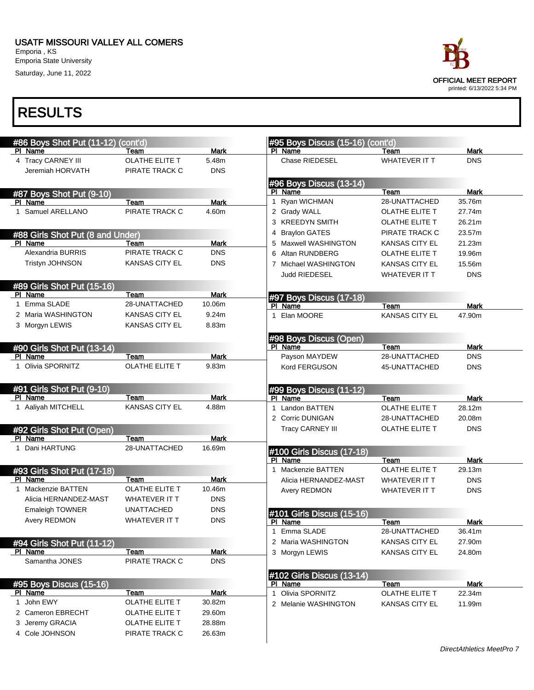

| #86 Boys Shot Put (11-12) (cont'd)    |                       |             | #95 Boys Discus (15-16) (cont'd) |                       |             |
|---------------------------------------|-----------------------|-------------|----------------------------------|-----------------------|-------------|
| PI Name                               | Team                  | <b>Mark</b> | PI Name                          | Team                  | <b>Mark</b> |
| 4 Tracy CARNEY III                    | OLATHE ELITE T        | 5.48m       | Chase RIEDESEL                   | <b>WHATEVER IT T</b>  | <b>DNS</b>  |
| Jeremiah HORVATH                      | PIRATE TRACK C        | <b>DNS</b>  |                                  |                       |             |
|                                       |                       |             | #96 Boys Discus (13-14)          |                       |             |
| #87 Boys Shot Put (9-10)              |                       |             | PI Name                          | Team                  | <b>Mark</b> |
| PI Name                               | Team                  | <b>Mark</b> | 1 Ryan WICHMAN                   | 28-UNATTACHED         | 35.76m      |
| Samuel ARELLANO<br>1                  | PIRATE TRACK C        | 4.60m       | 2 Grady WALL                     | OLATHE ELITE T        | 27.74m      |
|                                       |                       |             | 3 KREEDYN SMITH                  | OLATHE ELITE T        | 26.21m      |
| #88 Girls Shot Put (8 and Under)      |                       |             | <b>Braylon GATES</b><br>4        | PIRATE TRACK C        | 23.57m      |
| PI Name                               | Team                  | <b>Mark</b> | Maxwell WASHINGTON               | <b>KANSAS CITY EL</b> | 21.23m      |
| Alexandria BURRIS                     | PIRATE TRACK C        | <b>DNS</b>  | 6 Altan RUNDBERG                 | OLATHE ELITE T        | 19.96m      |
| Tristyn JOHNSON                       | <b>KANSAS CITY EL</b> | <b>DNS</b>  | 7 Michael WASHINGTON             | <b>KANSAS CITY EL</b> | 15.56m      |
|                                       |                       |             | <b>Judd RIEDESEL</b>             | <b>WHATEVER IT T</b>  | <b>DNS</b>  |
|                                       |                       |             |                                  |                       |             |
| #89 Girls Shot Put (15-16)<br>PI Name | Team                  | <b>Mark</b> |                                  |                       |             |
| Emma SLADE<br>1                       | 28-UNATTACHED         | 10.06m      | #97 Boys Discus (17-18)          |                       |             |
| 2 Maria WASHINGTON                    |                       | 9.24m       | PI Name                          | Team                  | <b>Mark</b> |
|                                       | <b>KANSAS CITY EL</b> |             | Elan MOORE<br>1                  | <b>KANSAS CITY EL</b> | 47.90m      |
| 3 Morgyn LEWIS                        | <b>KANSAS CITY EL</b> | 8.83m       |                                  |                       |             |
|                                       |                       |             | #98 Boys Discus (Open)           |                       |             |
| #90 Girls Shot Put (13-14)            |                       |             | PI Name                          | Team                  | Mark        |
| PI Name                               | Team                  | <b>Mark</b> | Payson MAYDEW                    | 28-UNATTACHED         | <b>DNS</b>  |
| 1 Olivia SPORNITZ                     | <b>OLATHE ELITE T</b> | 9.83m       | Kord FERGUSON                    | 45-UNATTACHED         | <b>DNS</b>  |
|                                       |                       |             |                                  |                       |             |
| #91 Girls Shot Put (9-10)             |                       |             | #99 Boys Discus (11-12)          |                       |             |
| PI Name                               | Team                  | <b>Mark</b> | PI Name                          | Team                  | Mark        |
| 1 Aaliyah MITCHELL                    | <b>KANSAS CITY EL</b> | 4.88m       | 1 Landon BATTEN                  | OLATHE ELITE T        | 28.12m      |
|                                       |                       |             | 2 Corric DUNIGAN                 | 28-UNATTACHED         | 20.08m      |
| #92 Girls Shot Put (Open)             |                       |             | <b>Tracy CARNEY III</b>          | OLATHE ELITE T        | <b>DNS</b>  |
| PI Name                               | Team                  | Mark        |                                  |                       |             |
| Dani HARTUNG<br>1                     | 28-UNATTACHED         | 16.69m      | #100 Girls Discus (17-18)        |                       |             |
|                                       |                       |             | PI Name                          | Team                  | Mark        |
| #93 Girls Shot Put (17-18)            |                       |             | 1 Mackenzie BATTEN               | <b>OLATHE ELITE T</b> | 29.13m      |
| PI Name                               | Team                  | <b>Mark</b> | Alicia HERNANDEZ-MAST            | <b>WHATEVER IT T</b>  | <b>DNS</b>  |
| Mackenzie BATTEN<br>1                 | OLATHE ELITE T        | 10.46m      | Avery REDMON                     | <b>WHATEVER IT T</b>  | <b>DNS</b>  |
| Alicia HERNANDEZ-MAST                 | WHATEVER IT T         | <b>DNS</b>  |                                  |                       |             |
| <b>Emaleigh TOWNER</b>                | <b>UNATTACHED</b>     | <b>DNS</b>  | #101 Girls Discus (15-16)        |                       |             |
| Avery REDMON                          | <b>WHATEVER IT T</b>  | <b>DNS</b>  | PI Name                          | Team                  | Mark        |
|                                       |                       |             | Emma SLADE<br>1                  | 28-UNATTACHED         | 36.41m      |
| #94 Girls Shot Put (11-12)            |                       |             | 2 Maria WASHINGTON               | <b>KANSAS CITY EL</b> | 27.90m      |
| PI Name                               | Team                  | <b>Mark</b> | 3 Morgyn LEWIS                   | KANSAS CITY EL        | 24.80m      |
| Samantha JONES                        | PIRATE TRACK C        | <b>DNS</b>  |                                  |                       |             |
|                                       |                       |             |                                  |                       |             |
|                                       |                       |             | #102 Girls Discus (13-14)        |                       |             |
| #95 Boys Discus (15-16)<br>PI Name    | Team                  | <b>Mark</b> | PI Name<br>Olivia SPORNITZ       | Team                  | <b>Mark</b> |
| 1 John EWY                            | OLATHE ELITE T        | 30.82m      | 1                                | OLATHE ELITE T        | 22.34m      |
| 2 Cameron EBRECHT                     | OLATHE ELITE T        | 29.60m      | 2 Melanie WASHINGTON             | <b>KANSAS CITY EL</b> | 11.99m      |
|                                       |                       |             |                                  |                       |             |
| 3 Jeremy GRACIA                       | OLATHE ELITE T        | 28.88m      |                                  |                       |             |
| 4 Cole JOHNSON                        | PIRATE TRACK C        | 26.63m      |                                  |                       |             |
|                                       |                       |             |                                  |                       |             |